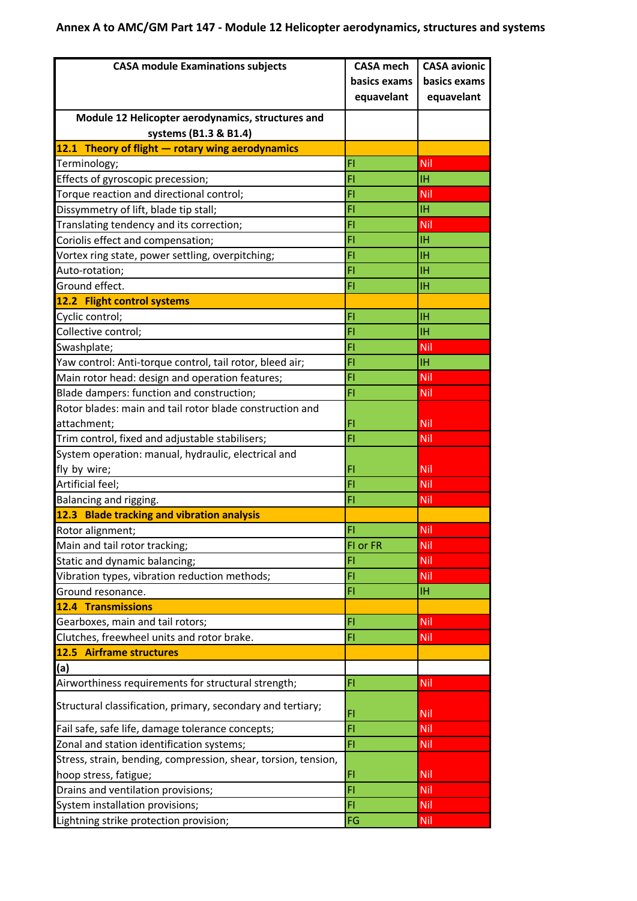## **Annex A to AMC/GM Part 147 - Module 12 Helicopter aerodynamics, structures and systems**

| <b>CASA module Examinations subjects</b>                       | <b>CASA mech</b> | <b>CASA avionic</b> |
|----------------------------------------------------------------|------------------|---------------------|
|                                                                | basics exams     | basics exams        |
|                                                                | equavelant       | equavelant          |
| Module 12 Helicopter aerodynamics, structures and              |                  |                     |
| systems (B1.3 & B1.4)                                          |                  |                     |
| 12.1 Theory of flight - rotary wing aerodynamics               |                  |                     |
| Terminology;                                                   | FI               | Nil                 |
| Effects of gyroscopic precession;                              | FI               | ΙH                  |
| Torque reaction and directional control;                       | FI               | Nil                 |
| Dissymmetry of lift, blade tip stall;                          | FI               | IΗ                  |
| Translating tendency and its correction;                       | FI               | Nil                 |
| Coriolis effect and compensation;                              | FI               | IΗ                  |
| Vortex ring state, power settling, overpitching;               | FI               | <b>IH</b>           |
| Auto-rotation;                                                 | FI               | ΙH                  |
| Ground effect.                                                 | FI               | <b>IH</b>           |
| 12.2 Flight control systems                                    |                  |                     |
| Cyclic control;                                                | FI               | <b>IH</b>           |
| Collective control;                                            | FI               | <b>IH</b>           |
| Swashplate;                                                    | FI               | Nil                 |
| Yaw control: Anti-torque control, tail rotor, bleed air;       | FI               | IΗ                  |
| Main rotor head: design and operation features;                | FI               | Nil                 |
| Blade dampers: function and construction;                      | FI               | Nil                 |
| Rotor blades: main and tail rotor blade construction and       |                  |                     |
| attachment;                                                    | FI               | <b>Nil</b>          |
| Trim control, fixed and adjustable stabilisers;                | FI               | Nil                 |
| System operation: manual, hydraulic, electrical and            |                  |                     |
| fly by wire;                                                   | FI               | Nil                 |
| Artificial feel;                                               | FI               | Nil                 |
| Balancing and rigging.                                         | FI               | Nil                 |
| 12.3 Blade tracking and vibration analysis                     |                  |                     |
| Rotor alignment;                                               | FI               | Nil                 |
| Main and tail rotor tracking;                                  | FI or FR         | Nil                 |
| Static and dynamic balancing;                                  | FI               | Nil                 |
| Vibration types, vibration reduction methods;                  | FI               | Nil                 |
| Ground resonance.                                              | FI               | IН.                 |
| <b>12.4 Transmissions</b>                                      |                  |                     |
| Gearboxes, main and tail rotors;                               | FI               | Nil                 |
| Clutches, freewheel units and rotor brake.                     | FI               | Nil                 |
| 12.5 Airframe structures                                       |                  |                     |
| (a)                                                            |                  |                     |
| Airworthiness requirements for structural strength;            | FI               | <b>Nil</b>          |
| Structural classification, primary, secondary and tertiary;    | FI               | <b>Nil</b>          |
| Fail safe, safe life, damage tolerance concepts;               | FI               | Nil                 |
| Zonal and station identification systems;                      | FI               | Nil                 |
| Stress, strain, bending, compression, shear, torsion, tension, |                  |                     |
| hoop stress, fatigue;                                          | FI               | Nil                 |
| Drains and ventilation provisions;                             | FI               | Nil                 |
| System installation provisions;                                | FI               | Nil                 |
| Lightning strike protection provision;                         | FG               | Nil                 |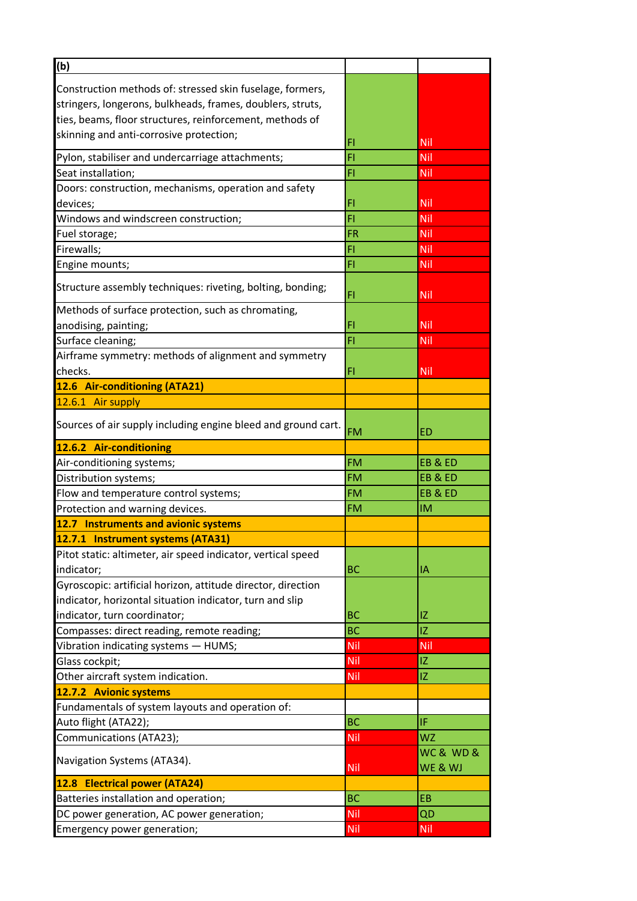| (b)                                                           |           |                      |
|---------------------------------------------------------------|-----------|----------------------|
| Construction methods of: stressed skin fuselage, formers,     |           |                      |
| stringers, longerons, bulkheads, frames, doublers, struts,    |           |                      |
| ties, beams, floor structures, reinforcement, methods of      |           |                      |
| skinning and anti-corrosive protection;                       |           |                      |
|                                                               | FI        | Nil                  |
| Pylon, stabiliser and undercarriage attachments;              | FI        | Nil                  |
| Seat installation;                                            | FI        | Nil                  |
| Doors: construction, mechanisms, operation and safety         |           |                      |
| devices;                                                      | FI        | Nil                  |
| Windows and windscreen construction;                          | FI        | Nil                  |
| Fuel storage;                                                 | <b>FR</b> | Nil                  |
| Firewalls;                                                    | FI        | Nil                  |
| Engine mounts;                                                | FI        | Nil                  |
| Structure assembly techniques: riveting, bolting, bonding;    | FI        | Nil                  |
| Methods of surface protection, such as chromating,            |           |                      |
| anodising, painting;                                          | FI        | Nil                  |
| Surface cleaning;                                             | FI        | Nil                  |
| Airframe symmetry: methods of alignment and symmetry          |           |                      |
| checks.                                                       | FI        | Nil                  |
| 12.6 Air-conditioning (ATA21)                                 |           |                      |
| 12.6.1 Air supply                                             |           |                      |
| Sources of air supply including engine bleed and ground cart. | <b>FM</b> | ED                   |
| 12.6.2 Air-conditioning                                       |           |                      |
| Air-conditioning systems;                                     | <b>FM</b> | EB&ED                |
| Distribution systems;                                         | <b>FM</b> | EB&ED                |
| Flow and temperature control systems;                         | <b>FM</b> | EB&ED                |
| Protection and warning devices.                               | <b>FM</b> | IM                   |
| 12.7 Instruments and avionic systems                          |           |                      |
| 12.7.1 Instrument systems (ATA31)                             |           |                      |
| Pitot static: altimeter, air speed indicator, vertical speed  |           |                      |
| indicator;                                                    | <b>BC</b> | IΑ                   |
| Gyroscopic: artificial horizon, attitude director, direction  |           |                      |
| indicator, horizontal situation indicator, turn and slip      |           |                      |
| indicator, turn coordinator;                                  | <b>BC</b> | ΙZ                   |
| Compasses: direct reading, remote reading;                    | <b>BC</b> | IZ                   |
| Vibration indicating systems - HUMS;                          | Nil       | Nil                  |
| Glass cockpit;                                                | Nil       | IZ.                  |
| Other aircraft system indication.                             | Nil       | IZ                   |
| 12.7.2 Avionic systems                                        |           |                      |
| Fundamentals of system layouts and operation of:              |           |                      |
| Auto flight (ATA22);                                          | <b>BC</b> | IF                   |
| Communications (ATA23);                                       | Nil       | WZ                   |
| Navigation Systems (ATA34).                                   | Nil       | WC & WD &<br>WE & WJ |
| 12.8 Electrical power (ATA24)                                 |           |                      |
| Batteries installation and operation;                         | <b>BC</b> | EB                   |
| DC power generation, AC power generation;                     | Nil       | QD                   |
| Emergency power generation;                                   | Nil       | Nil                  |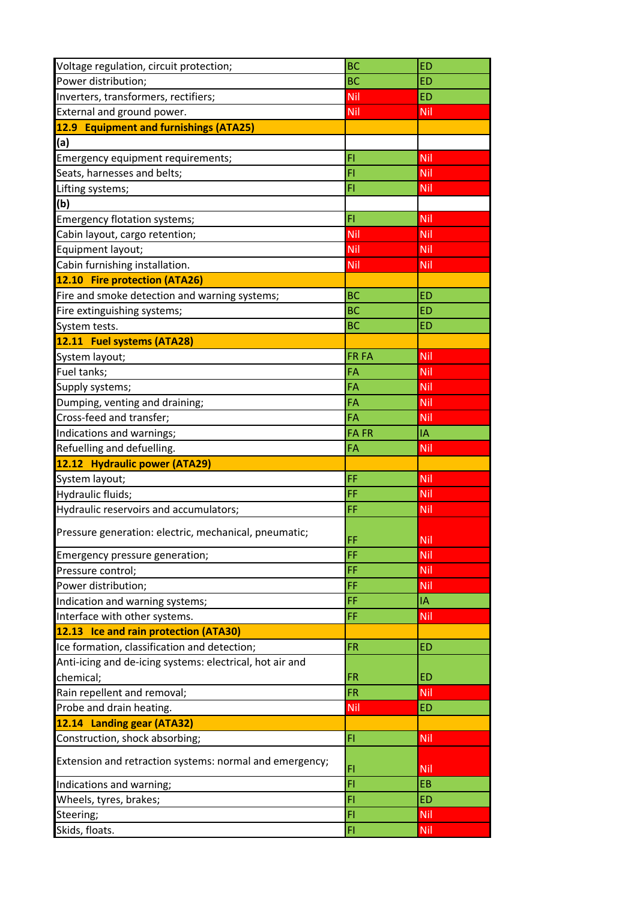| Voltage regulation, circuit protection;                  | <b>BC</b>    | <b>ED</b>         |
|----------------------------------------------------------|--------------|-------------------|
| Power distribution;                                      | <b>BC</b>    | <b>ED</b>         |
| Inverters, transformers, rectifiers;                     | Nil          | <b>ED</b>         |
| External and ground power.                               | Nil          | Nil               |
| 12.9 Equipment and furnishings (ATA25)                   |              |                   |
| (a)                                                      |              |                   |
| Emergency equipment requirements;                        | FI           | Nil               |
| Seats, harnesses and belts;                              | FI           | Nil               |
| Lifting systems;                                         | FI           | Nil               |
| (b)                                                      |              |                   |
| Emergency flotation systems;                             | FI           | Nil               |
| Cabin layout, cargo retention;                           | Nil          | <b>Nil</b>        |
| Equipment layout;                                        | Nil          | Nil               |
| Cabin furnishing installation.                           | Nil          | Nil               |
| 12.10 Fire protection (ATA26)                            |              |                   |
| Fire and smoke detection and warning systems;            | <b>BC</b>    | <b>ED</b>         |
| Fire extinguishing systems;                              | <b>BC</b>    | <b>ED</b>         |
| System tests.                                            | <b>BC</b>    | <b>ED</b>         |
| 12.11 Fuel systems (ATA28)                               |              |                   |
| System layout;                                           | <b>FR FA</b> | Nil               |
| Fuel tanks;                                              | FA           | <b>Nil</b>        |
| Supply systems;                                          | FA           | Nil               |
| Dumping, venting and draining;                           | FA           | Nil               |
| Cross-feed and transfer;                                 | FA           | Nil               |
| Indications and warnings;                                | <b>FAFR</b>  | IA                |
|                                                          |              |                   |
|                                                          |              |                   |
| Refuelling and defuelling.                               | FA           | Nil               |
| 12.12 Hydraulic power (ATA29)                            |              |                   |
| System layout;                                           | FF           | Nil               |
| Hydraulic fluids;                                        | FF           | Nil               |
| Hydraulic reservoirs and accumulators;                   | FF           | <b>Nil</b>        |
| Pressure generation: electric, mechanical, pneumatic;    | FF           | Nil               |
| Emergency pressure generation;                           | FF           | <b>Nil</b>        |
| Pressure control;                                        | FF           | Nil               |
| Power distribution;                                      | FF           | Nil               |
| Indication and warning systems;                          | FF           | IA                |
| Interface with other systems.                            | FF           | Nil               |
| 12.13 Ice and rain protection (ATA30)                    |              |                   |
| Ice formation, classification and detection;             | <b>FR</b>    | <b>ED</b>         |
| Anti-icing and de-icing systems: electrical, hot air and |              |                   |
| chemical;                                                | <b>FR</b>    | <b>ED</b>         |
| Rain repellent and removal;                              | <b>FR</b>    | Nil               |
| Probe and drain heating.                                 | Nil          | ED                |
| 12.14 Landing gear (ATA32)                               |              |                   |
| Construction, shock absorbing;                           | FI.          | <b>Nil</b>        |
| Extension and retraction systems: normal and emergency;  |              |                   |
|                                                          | FI           | <b>Nil</b>        |
| Indications and warning;                                 | FI           | EB                |
| Wheels, tyres, brakes;                                   | FI           | <b>ED</b>         |
| Steering;<br>Skids, floats.                              | FI<br>FI     | Nil<br><b>Nil</b> |